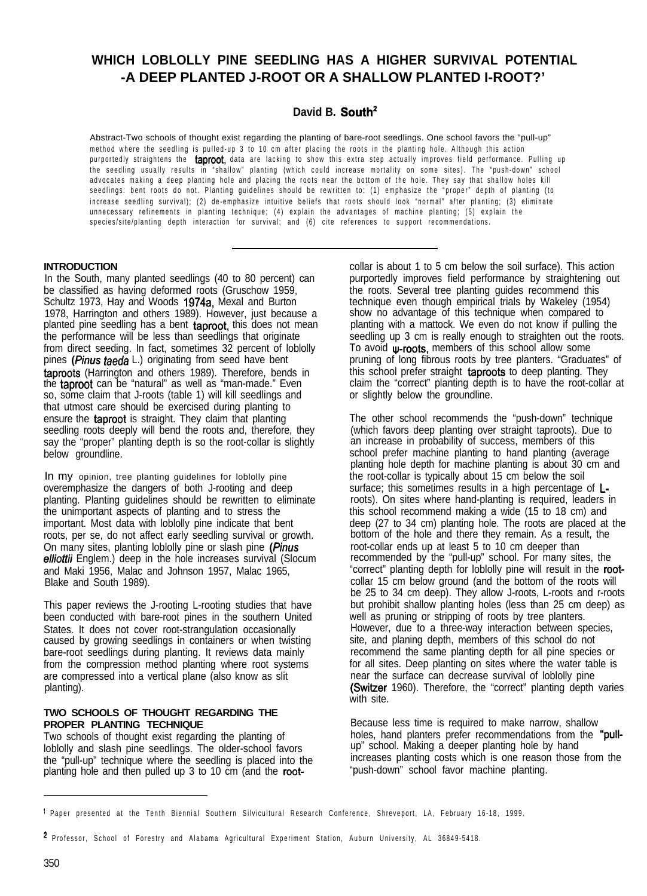# **WHICH LOBLOLLY PINE SEEDLING HAS A HIGHER SURVIVAL POTENTIAL -A DEEP PLANTED J-ROOT OR A SHALLOW PLANTED I-ROOT?'**

# **David B. South'**

Abstract-Two schools of thought exist regarding the planting of bare-root seedlings. One school favors the "pull-up" method where the seedling is pulled-up 3 to 10 cm after placing the roots in the planting hole. Although this action purportedly straightens the taproot, data are lacking to show this extra step actually improves field performance. Pulling up the seedling usually results in "shallow" planting (which could increase mortality on some sites). The "push-down" school advocates making a deep planting hole and placing the roots near the bottom of the hole. They say that shallow holes kill seedlings: bent roots do not. Planting guidelines should be rewritten to: (1) emphasize the "proper" depth of planting (to increase seedling survival); (2) de-emphasize intuitive beliefs that roots should look "normal" after planting; (3) eliminate unnecessary refinements in planting technique; (4) explain the advantages of machine planting; (5) explain the species/site/planting depth interaction for survival; and (6) cite references to support recommendations.

### **INTRODUCTION**

In the South, many planted seedlings (40 to 80 percent) can be classified as having deformed roots (Gruschow 1959, Schultz 1973, Hay and Woods 1974a, Mexal and Burton 1978, Harrington and others 1989). However, just because a planted pine seedling has a bent taproot, this does not mean the performance will be less than seedlings that originate from direct seeding. In fact, sometimes 32 percent of loblolly pines (*Pinus taeda* L.) originating from seed have bent taproots (Harrington and others 1989). Therefore, bends in the **taproot** can be "natural" as well as "man-made." Even so, some claim that J-roots (table 1) will kill seedlings and that utmost care should be exercised during planting to ensure the taproot is straight. They claim that planting seedling roots deeply will bend the roots and, therefore, they say the "proper" planting depth is so the root-collar is slightly below groundline.

In my opinion, tree planting guidelines for loblolly pine overemphasize the dangers of both J-rooting and deep planting. Planting guidelines should be rewritten to eliminate the unimportant aspects of planting and to stress the important. Most data with loblolly pine indicate that bent roots, per se, do not affect early seedling survival or growth. On many sites, planting loblolly pine or slash pine (Pinus elliottii Englem.) deep in the hole increases survival (Slocum and Maki 1956, Malac and Johnson 1957, Malac 1965, Blake and South 1989).

This paper reviews the J-rooting L-rooting studies that have been conducted with bare-root pines in the southern United States. It does not cover root-strangulation occasionally caused by growing seedlings in containers or when twisting bare-root seedlings during planting. It reviews data mainly from the compression method planting where root systems are compressed into a vertical plane (also know as slit planting).

### **TWO SCHOOLS OF THOUGHT REGARDING THE PROPER PLANTING TECHNIQUE**

Two schools of thought exist regarding the planting of loblolly and slash pine seedlings. The older-school favors the "pull-up" technique where the seedling is placed into the planting hole and then pulled up 3 to 10 cm (and the rootcollar is about 1 to 5 cm below the soil surface). This action purportedly improves field performance by straightening out the roots. Several tree planting guides recommend this technique even though empirical trials by Wakeley (1954) show no advantage of this technique when compared to planting with a mattock. We even do not know if pulling the seedling up 3 cm is really enough to straighten out the roots. To avoid  $\psi$ -roots, members of this school allow some pruning of long fibrous roots by tree planters. "Graduates" of this school prefer straight taproots to deep planting. They claim the "correct" planting depth is to have the root-collar at or slightly below the groundline.

The other school recommends the "push-down" technique (which favors deep planting over straight taproots). Due to an increase in probability of success, members of this school prefer machine planting to hand planting (average planting hole depth for machine planting is about 30 cm and the root-collar is typically about 15 cm below the soil surface; this sometimes results in a high percentage of  $L$ roots). On sites where hand-planting is required, leaders in this school recommend making a wide (15 to 18 cm) and deep (27 to 34 cm) planting hole. The roots are placed at the bottom of the hole and there they remain. As a result, the root-collar ends up at least 5 to 10 cm deeper than recommended by the "pull-up" school. For many sites, the "correct" planting depth for loblolly pine will result in the rootcollar 15 cm below ground (and the bottom of the roots will be 25 to 34 cm deep). They allow J-roots, L-roots and r-roots but prohibit shallow planting holes (less than 25 cm deep) as well as pruning or stripping of roots by tree planters. However, due to a three-way interaction between species, site, and planing depth, members of this school do not recommend the same planting depth for all pine species or for all sites. Deep planting on sites where the water table is near the surface can decrease survival of loblolly pine (Switzer 1960). Therefore, the "correct" planting depth varies with site.

Because less time is required to make narrow, shallow holes, hand planters prefer recommendations from the "pullup" school. Making a deeper planting hole by hand increases planting costs which is one reason those from the "push-down" school favor machine planting.

<sup>&#</sup>x27; Paper presented at the Tenth Biennial Southern Silvicultural Research Conference, Shreveport, LA, February 16-18, 1999.

<sup>2</sup> Professor, School of Forestry and Alabama Agricultural Experiment Station, Auburn University, AL 36849-5418.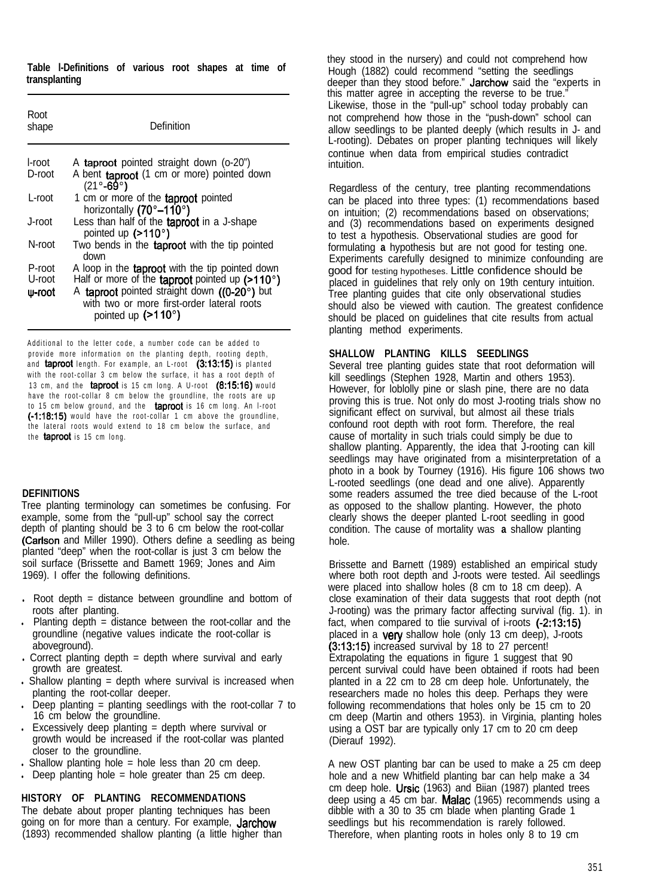**Table l-Definitions of various root shapes at time of transplanting**

| Root<br>shape    | Definition                                                                                                                |  |  |  |  |
|------------------|---------------------------------------------------------------------------------------------------------------------------|--|--|--|--|
| l-root<br>D-root | A taproot pointed straight down (o-20")<br>A bent taproot (1 cm or more) pointed down                                     |  |  |  |  |
|                  | $(21^\circ - 69^\circ)$                                                                                                   |  |  |  |  |
| L-root           | 1 cm or more of the taproot pointed<br>horizontally (70°-110°)                                                            |  |  |  |  |
| J-root           | Less than half of the taproot in a J-shape<br>pointed up (>110°)                                                          |  |  |  |  |
| N-root           | Two bends in the taproot with the tip pointed<br>down                                                                     |  |  |  |  |
| P-root           | A loop in the <b>taproot</b> with the tip pointed down                                                                    |  |  |  |  |
| U-root           | Half or more of the taproot pointed up $($ >110 $^{\circ}$ )                                                              |  |  |  |  |
| $\psi$ -root     | A taproot pointed straight down ((0-20°) but<br>with two or more first-order lateral roots<br>pointed up $(>110^{\circ})$ |  |  |  |  |

Additional to the letter code, a number code can be added to provide more information on the planting depth, rooting depth, and **taproot** length. For example, an L-root (3:13:15) is planted with the root-collar 3 cm below the surface, it has a root depth of 13 cm, and the taproot is 15 cm long. A U-root (8:15:16) would have the root-collar 8 cm below the groundline, the roots are up to 15 cm below ground, and the taproot is 16 cm long. An I-root (-1:18:15) would have the root-collar 1 cm above the groundline, the lateral roots would extend to 18 cm below the surface, and the **taproot** is 15 cm long.

#### **DEFINITIONS**

Tree planting terminology can sometimes be confusing. For example, some from the "pull-up" school say the correct depth of planting should be 3 to 6 cm below the root-collar (Carlson and Miller 1990). Others define a seedling as being planted "deep" when the root-collar is just 3 cm below the soil surface (Brissette and Bamett 1969; Jones and Aim 1969). I offer the following definitions.

- . Root depth  $=$  distance between groundline and bottom of roots after planting.
- . Planting depth  $=$  distance between the root-collar and the groundline (negative values indicate the root-collar is aboveground).
- $\cdot$  Correct planting depth = depth where survival and early growth are greatest.
- . Shallow planting  $=$  depth where survival is increased when planting the root-collar deeper.
- Deep planting  $=$  planting seedlings with the root-collar  $7$  to 16 cm below the groundline.
- $\cdot$  Excessively deep planting = depth where survival or growth would be increased if the root-collar was planted closer to the groundline.
- . Shallow planting hole  $=$  hole less than 20 cm deep.
- . Deep planting hole  $=$  hole greater than 25 cm deep.

# **HISTORY OF PLANTING RECOMMENDATIONS**

The debate about proper planting techniques has been going on for more than a century. For example, Jarchow (1893) recommended shallow planting (a little higher than they stood in the nursery) and could not comprehend how Hough (1882) could recommend "setting the seedlings deeper than they stood before." Jarchow said the "experts in this matter agree in accepting the reverse to be true." Likewise, those in the "pull-up" school today probably can not comprehend how those in the "push-down" school can allow seedlings to be planted deeply (which results in J- and L-rooting). Debates on proper planting techniques will likely continue when data from empirical studies contradict intuition.

Regardless of the century, tree planting recommendations can be placed into three types: (1) recommendations based on intuition; (2) recommendations based on observations; and (3) recommendations based on experiments designed to test a hypothesis. Observational studies are good for formulating **a** hypothesis but are not good for testing one. Experiments carefully designed to minimize confounding are good for testing hypotheses. Little confidence should be placed in guidelines that rely only on 19th century intuition. Tree planting guides that cite only observational studies should also be viewed with caution. The greatest confidence should be placed on guidelines that cite results from actual planting method experiments.

# **SHALLOW PLANTING KILLS SEEDLINGS**

Several tree planting guides state that root deformation will kill seedlings (Stephen 1928, Martin and others 1953). However, for loblolly pine or slash pine, there are no data proving this is true. Not only do most J-rooting trials show no significant effect on survival, but almost ail these trials confound root depth with root form. Therefore, the real cause of mortality in such trials could simply be due to shallow planting. Apparently, the idea that J-rooting can kill seedlings may have originated from a misinterpretation of a photo in a book by Tourney (1916). His figure 106 shows two L-rooted seedlings (one dead and one alive). Apparently some readers assumed the tree died because of the L-root as opposed to the shallow planting. However, the photo clearly shows the deeper planted L-root seedling in good condition. The cause of mortality was **a** shallow planting hole.

Brissette and Barnett (1989) established an empirical study where both root depth and J-roots were tested. Ail seedlings were placed into shallow holes (8 cm to 18 cm deep). A close examination of their data suggests that root depth (not J-rooting) was the primary factor affecting survival (fig. 1). in fact, when compared to tlie survival of i-roots (-2:13:15) placed in a very shallow hole (only 13 cm deep), J-roots (3:13:15) increased survival by 18 to 27 percent! Extrapolating the equations in figure 1 suggest that 90 percent survival could have been obtained if roots had been planted in a 22 cm to 28 cm deep hole. Unfortunately, the researchers made no holes this deep. Perhaps they were following recommendations that holes only be 15 cm to 20 cm deep (Martin and others 1953). in Virginia, planting holes using a OST bar are typically only 17 cm to 20 cm deep (Dierauf 1992).

A new OST planting bar can be used to make a 25 cm deep hole and a new Whitfield planting bar can help make a 34 cm deep hole. Ursic (1963) and Biian (1987) planted trees deep using a 45 cm bar. Malac (1965) recommends using a dibble with a 30 to 35 cm blade when planting Grade 1 seedlings but his recommendation is rarely followed. Therefore, when planting roots in holes only 8 to 19 cm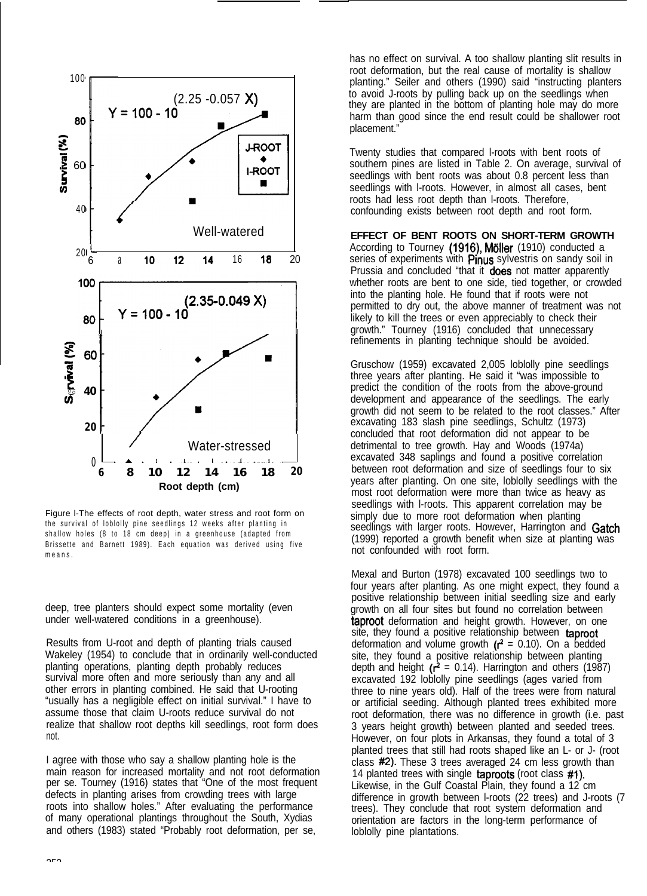

Figure l-The effects of root depth, water stress and root form on the survival of loblolly pine seedlings 12 weeks after planting in shallow holes (8 to 18 cm deep) in a greenhouse (adapted from Brissette and Barnett 1989). Each equation was derived using five means.

deep, tree planters should expect some mortality (even under well-watered conditions in a greenhouse).

Results from U-root and depth of planting trials caused Wakeley (1954) to conclude that in ordinarily well-conducted planting operations, planting depth probably reduces survival more often and more seriously than any and all other errors in planting combined. He said that U-rooting "usually has a negligible effect on initial survival." I have to assume those that claim U-roots reduce survival do not realize that shallow root depths kill seedlings, root form does not.

I agree with those who say a shallow planting hole is the main reason for increased mortality and not root deformation per se. Tourney (1916) states that "One of the most frequent defects in planting arises from crowding trees with large roots into shallow holes." After evaluating the performance of many operational plantings throughout the South, Xydias and others (1983) stated "Probably root deformation, per se,

has no effect on survival. A too shallow planting slit results in root deformation, but the real cause of mortality is shallow planting." Seiler and others (1990) said "instructing planters to avoid J-roots by pulling back up on the seedlings when they are planted in the bottom of planting hole may do more harm than good since the end result could be shallower root placement."

Twenty studies that compared l-roots with bent roots of southern pines are listed in Table 2. On average, survival of seedlings with bent roots was about 0.8 percent less than seedlings with l-roots. However, in almost all cases, bent roots had less root depth than l-roots. Therefore, confounding exists between root depth and root form.

#### **EFFECT OF BENT ROOTS ON SHORT-TERM GROWTH**

According to Tourney (1916), Möller (1910) conducted a series of experiments with Pinus sylvestris on sandy soil in Prussia and concluded "that it does not matter apparently whether roots are bent to one side, tied together, or crowded into the planting hole. He found that if roots were not permitted to dry out, the above manner of treatment was not likely to kill the trees or even appreciably to check their growth." Tourney (1916) concluded that unnecessary refinements in planting technique should be avoided.

Gruschow (1959) excavated 2,005 loblolly pine seedlings three years after planting. He said it "was impossible to predict the condition of the roots from the above-ground development and appearance of the seedlings. The early growth did not seem to be related to the root classes." After excavating 183 slash pine seedlings, Schultz (1973) concluded that root deformation did not appear to be detrimental to tree growth. Hay and Woods (1974a) excavated 348 saplings and found a positive correlation between root deformation and size of seedlings four to six years after planting. On one site, loblolly seedlings with the most root deformation were more than twice as heavy as seedlings with l-roots. This apparent correlation may be simply due to more root deformation when planting seedlings with larger roots. However, Harrington and Gatch (1999) reported a growth benefit when size at planting was not confounded with root form.

Mexal and Burton (1978) excavated 100 seedlings two to four years after planting. As one might expect, they found a positive relationship between initial seedling size and early growth on all four sites but found no correlation between **taproot** deformation and height growth. However, on one site, they found a positive relationship between taproot deformation and volume growth  $(r^2 = 0.10)$ . On a bedded site, they found a positive relationship between planting depth and height ( $r^2$  = 0.14). Harrington and others (1987) excavated 192 loblolly pine seedlings (ages varied from three to nine years old). Half of the trees were from natural or artificial seeding. Although planted trees exhibited more root deformation, there was no difference in growth (i.e. past 3 years height growth) between planted and seeded trees. However, on four plots in Arkansas, they found a total of 3 planted trees that still had roots shaped like an L- or J- (root class #2). These 3 trees averaged 24 cm less growth than 14 planted trees with single taproots (root class #I). Likewise, in the Gulf Coastal Plain, they found a 12 cm difference in growth between l-roots (22 trees) and J-roots (7 trees). They conclude that root system deformation and orientation are factors in the long-term performance of loblolly pine plantations.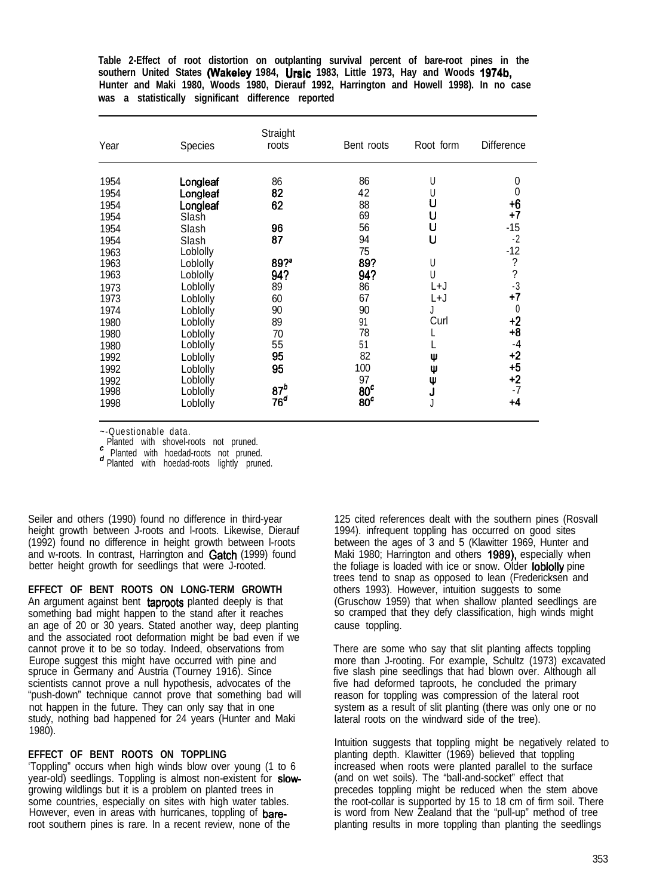**Table 2-Effect of root distortion on outplanting survival percent of bare-root pines in the southern United States (Wakeley 1984, Ursic 1983, Little 1973, Hay and Woods 1974b, Hunter and Maki 1980, Woods 1980, Dierauf 1992, Harrington and Howell 1998). In no case was a statistically significant difference reported**

| Year         | Species              | Straight<br>roots | Bent roots      | Root form | <b>Difference</b>        |
|--------------|----------------------|-------------------|-----------------|-----------|--------------------------|
| 1954         | Longleaf             | 86                | 86              | U         | 0                        |
| 1954         | Longleaf             | 82                | 42              | U         | 0                        |
| 1954         | Longleaf             | 62                | 88              | U         | +6                       |
| 1954         | Slash                | 96                | 69<br>56        | υ<br>U    | $+7$<br>-15              |
| 1954<br>1954 | Slash<br>Slash       | 87                | 94              | U         | $-2$                     |
| 1963<br>1963 | Loblolly<br>Loblolly | 89?               | 75<br>89?       | U         | $-12$<br>?               |
| 1963         | Loblolly             | 94?               | 94?             | U         | $\overline{\phantom{a}}$ |
| 1973         | Loblolly             | 89                | 86              | L+J       | $-3$                     |
| 1973         | Loblolly             | 60                | 67              | L+J       | $+7$                     |
| 1974         | Loblolly             | 90                | 90              | J         | 0                        |
| 1980         | Loblolly             | 89                | 91              | Curl      | $+2$                     |
| 1980         | Loblolly             | 70                | 78              |           | $+8$                     |
| 1980         | Loblolly             | 55                | 51              | Ψ         | $-4$                     |
| 1992         | Loblolly             | 95                | 82              |           | $+2$                     |
| 1992         | Loblolly             | 95                | 100             | Ψ         | $+5$                     |
| 1992         | Loblolly             |                   | 97              | ψ         | $+2$                     |
| 1998         | Loblolly             | 87 <sup>b</sup>   | 80 <sup>c</sup> | J         | -7                       |
| 1998         | Loblolly             | 76 <sup>o</sup>   | 80 <sup>c</sup> | J         | +4                       |

~-Questionable data.

Planted with shovel-roots not pruned.

Planted with hoedad-roots not pruned.

d Planted with hoedad-roots lightly pruned.

Seiler and others (1990) found no difference in third-year height growth between J-roots and l-roots. Likewise, Dierauf (1992) found no difference in height growth between l-roots and w-roots. In contrast, Harrington and Gatch (1999) found better height growth for seedlings that were J-rooted.

**EFFECT OF BENT ROOTS ON LONG-TERM GROWTH** An argument against bent taproots planted deeply is that something bad might happen to the stand after it reaches an age of 20 or 30 years. Stated another way, deep planting and the associated root deformation might be bad even if we cannot prove it to be so today. Indeed, observations from Europe suggest this might have occurred with pine and spruce in Germany and Austria (Tourney 1916). Since scientists cannot prove a null hypothesis, advocates of the "push-down" technique cannot prove that something bad will not happen in the future. They can only say that in one study, nothing bad happened for 24 years (Hunter and Maki

### **EFFECT OF BENT ROOTS ON TOPPLING**

1980).

'Toppling" occurs when high winds blow over young (1 to 6 year-old) seedlings. Toppling is almost non-existent for slowgrowing wildlings but it is a problem on planted trees in some countries, especially on sites with high water tables. However, even in areas with hurricanes, toppling of bareroot southern pines is rare. In a recent review, none of the

125 cited references dealt with the southern pines (Rosvall 1994). infrequent toppling has occurred on good sites between the ages of 3 and 5 (Klawitter 1969, Hunter and Maki 1980; Harrington and others 1989), especially when the foliage is loaded with ice or snow. Older loblolly pine trees tend to snap as opposed to lean (Fredericksen and others 1993). However, intuition suggests to some (Gruschow 1959) that when shallow planted seedlings are so cramped that they defy classification, high winds might cause toppling.

There are some who say that slit planting affects toppling more than J-rooting. For example, Schultz (1973) excavated five slash pine seedlings that had blown over. Although all five had deformed taproots, he concluded the primary reason for toppling was compression of the lateral root system as a result of slit planting (there was only one or no lateral roots on the windward side of the tree).

Intuition suggests that toppling might be negatively related to planting depth. Klawitter (1969) believed that toppling increased when roots were planted parallel to the surface (and on wet soils). The "ball-and-socket" effect that precedes toppling might be reduced when the stem above the root-collar is supported by 15 to 18 cm of firm soil. There is word from New Zealand that the "pull-up" method of tree planting results in more toppling than planting the seedlings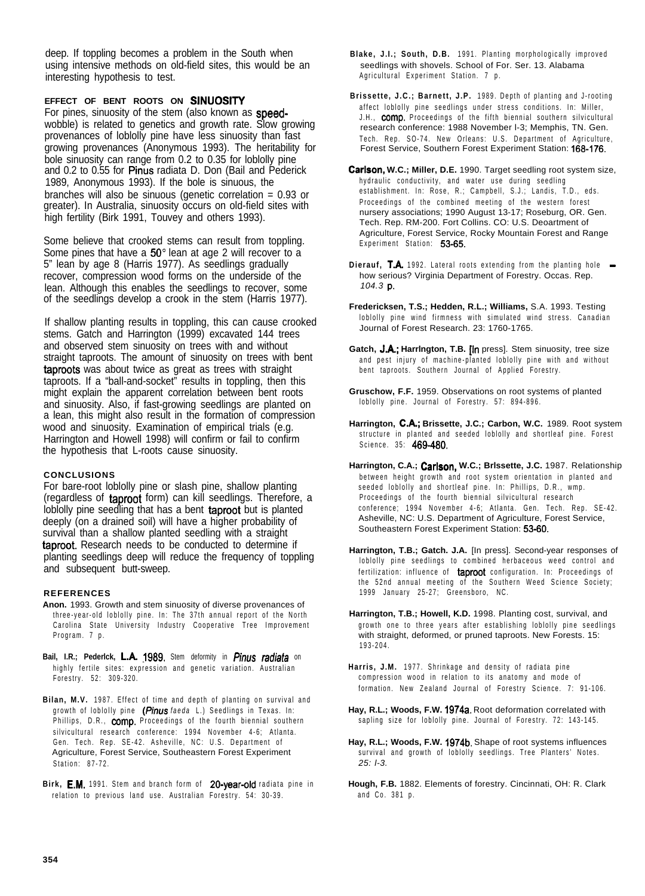deep. If toppling becomes a problem in the South when using intensive methods on old-field sites, this would be an interesting hypothesis to test.

**EFFECT OF BENT ROOTS ON SINUOSITY**

For pines, sinuosity of the stem (also known as speedwobble) is related to genetics and growth rate. Slow growing provenances of loblolly pine have less sinuosity than fast growing provenances (Anonymous 1993). The heritability for bole sinuosity can range from 0.2 to 0.35 for loblolly pine and 0.2 to 0.55 for Pinus radiata D. Don (Bail and Pederick 1989, Anonymous 1993). If the bole is sinuous, the branches will also be sinuous (genetic correlation = 0.93 or greater). In Australia, sinuosity occurs on old-field sites with high fertility (Birk 1991, Touvey and others 1993).

Some believe that crooked stems can result from toppling. Some pines that have a 50° lean at age 2 will recover to a 5" lean by age 8 (Harris 1977). As seedlings gradually recover, compression wood forms on the underside of the lean. Although this enables the seedlings to recover, some of the seedlings develop a crook in the stem (Harris 1977).

If shallow planting results in toppling, this can cause crooked stems. Gatch and Harrington (1999) excavated 144 trees and observed stem sinuosity on trees with and without straight taproots. The amount of sinuosity on trees with bent taproots was about twice as great as trees with straight taproots. If a "ball-and-socket" results in toppling, then this might explain the apparent correlation between bent roots and sinuosity. Also, if fast-growing seedlings are planted on a lean, this might also result in the formation of compression wood and sinuosity. Examination of empirical trials (e.g. Harrington and Howell 1998) will confirm or fail to confirm the hypothesis that L-roots cause sinuosity.

### **CONCLUSIONS**

For bare-root loblolly pine or slash pine, shallow planting (regardless of taproot form) can kill seedlings. Therefore, a loblolly pine seedling that has a bent taproot but is planted deeply (on a drained soil) will have a higher probability of survival than a shallow planted seedling with a straight taproot. Research needs to be conducted to determine if planting seedlings deep will reduce the frequency of toppling and subsequent butt-sweep.

#### **REFERENCES**

- **Anon.** 1993. Growth and stem sinuosity of diverse provenances of three-year-old loblolly pine. In: The 37th annual report of the North Carolina State University Industry Cooperative Tree Improvement Program. 7 p.
- Bail, I.R.; Pederlck, L.A. 1989. Stem deformity in *Pinus radiata* on highly fertile sites: expression and genetic variation. Australian Forestry. 52: 309-320.
- **Bilan, M.V.** 1987. Effect of time and depth of planting on survival and growth of loblolly pine *(Pinus faeda* L.) Seedlings in Texas. In: Phillips, D.R., **comp.** Proceedings of the fourth biennial southern silvicultural research conference: 1994 November 4-6; Atlanta. Gen. Tech. Rep. SE-42. Asheville, NC: U.S. Department of Agriculture, Forest Service, Southeastern Forest Experiment Station: 87-72.
- Birk, E.M. 1991. Stem and branch form of 20-year-old radiata pine in relation to previous land use. Australian Forestry. 54: 30-39.
- **Blake, J.I.; South, D.B.** 1991. Planting morphologically improved seedlings with shovels. School of For. Ser. 13. Alabama Agricultural Experiment Station. 7 p.
- **Brissette, J.C.; Barnett, J.P.** 1989. Depth of planting and J-rooting affect loblolly pine seedlings under stress conditions. In: Miller, J.H., **comp.** Proceedings of the fifth biennial southern silvicultural research conference: 1988 November l-3; Memphis, TN. Gen. Tech. Rep. SO-74. New Orleans: U.S. Department of Agriculture, Forest Service, Southern Forest Experiment Station: 168-176.
- **Carlson, W.C.; Miller, D.E.** 1990. Target seedling root system size, hydraulic conductivity, and water use during seedling establishment. In: Rose, R.; Campbell, S.J.; Landis, T.D., eds. Proceedings of the combined meeting of the western forest nursery associations; 1990 August 13-17; Roseburg, OR. Gen. Tech. Rep. RM-200. Fort Collins. CO: U.S. Deoartment of Agriculture, Forest Service, Rocky Mountain Forest and Range Experiment Station: 53-65.
- **Dierauf, T.A.** 1992. Lateral roots extending from the planting hole how serious? Virginia Department of Forestry. Occas. Rep. *104.3* p.
- **Fredericksen, T.S.; Hedden, R.L.; Williams,** S.A. 1993. Testing loblolly pine wind firmness with simulated wind stress. Canadian Journal of Forest Research. 23: 1760-1765.
- **Gatch, J.A.; Harrington, T.B. In pressl. Stem sinuosity, tree size** and pest injury of machine-planted loblolly pine with and without bent taproots. Southern Journal of Applied Forestry.
- **Gruschow, F.F.** 1959. Observations on root systems of planted loblolly pine. Journal of Forestry. 57: 894-896.
- **Harrington, CA.; Brissette, J.C.; Carbon, W.C.** 1989. Root system structure in planted and seeded loblolly and shortleaf pine. Forest Science. 35: 469-480.
- Harrington, C.A.; Carlson, W.C.; Brissette, J.C. 1987. Relationship between height growth and root system orientation in planted and seeded loblolly and shortleaf pine. In: Phillips, D.R., wmp. Proceedings of the fourth biennial silvicultural research conference; 1994 November 4-6; Atlanta. Gen. Tech. Rep. SE-42. Asheville, NC: U.S. Department of Agriculture, Forest Service, Southeastern Forest Experiment Station: 53-80.
- **Harrington, T.B.; Gatch. J.A.** [In press]. Second-year responses of loblolly pine seedlings to combined herbaceous weed control and fertilization: influence of taproot configuration. In: Proceedings of the 52nd annual meeting of the Southern Weed Science Society; 1999 January 25-27; Greensboro, NC.
- **Harrington, T.B.; Howell, K.D.** 1998. Planting cost, survival, and growth one to three years after establishing loblolly pine seedlings with straight, deformed, or pruned taproots. New Forests. 15: 193-204.
- **Harris, J.M.** 1977. Shrinkage and density of radiata pine compression wood in relation to its anatomy and mode of formation. New Zealand Journal of Forestry Science. 7: 91-106.
- **Hay, R.L.; Woods, F.W.** 1974a. Root deformation correlated with sapling size for loblolly pine. Journal of Forestry. 72: 143-145.
- **Hay, R.L.; Woods, F.W.** 1974b. Shape of root systems influences survival and growth of loblolly seedlings. Tree Planters' Notes. *25: l-3.*
- **Hough, F.B.** 1882. Elements of forestry. Cincinnati, OH: R. Clark and Co. 381 p.